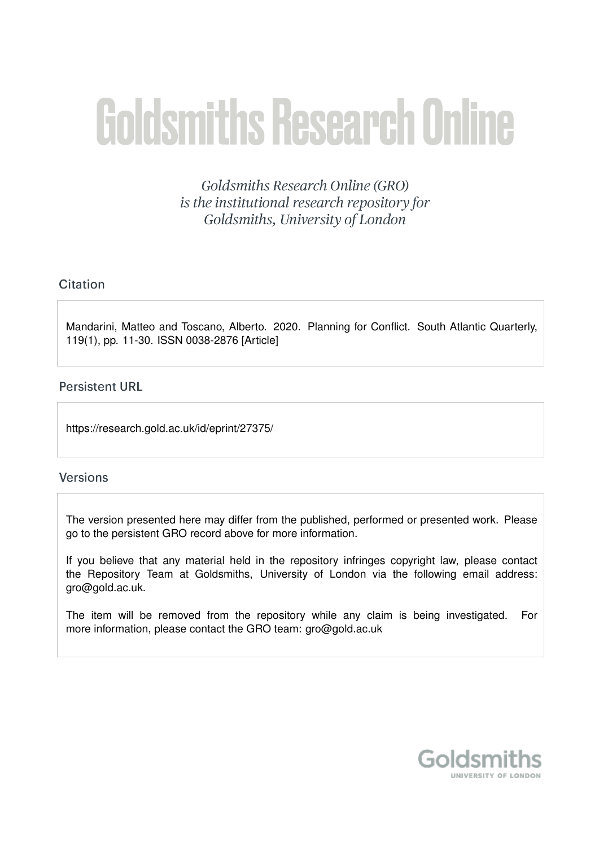# **Goldsmiths Research Online**

Goldsmiths Research Online (GRO) is the institutional research repository for Goldsmiths, University of London

# Citation

Mandarini, Matteo and Toscano, Alberto. 2020. Planning for Conflict. South Atlantic Quarterly, 119(1), pp. 11-30. ISSN 0038-2876 [Article]

# **Persistent URL**

https://research.gold.ac.uk/id/eprint/27375/

# **Versions**

The version presented here may differ from the published, performed or presented work. Please go to the persistent GRO record above for more information.

If you believe that any material held in the repository infringes copyright law, please contact the Repository Team at Goldsmiths, University of London via the following email address: gro@gold.ac.uk.

The item will be removed from the repository while any claim is being investigated. For more information, please contact the GRO team: gro@gold.ac.uk

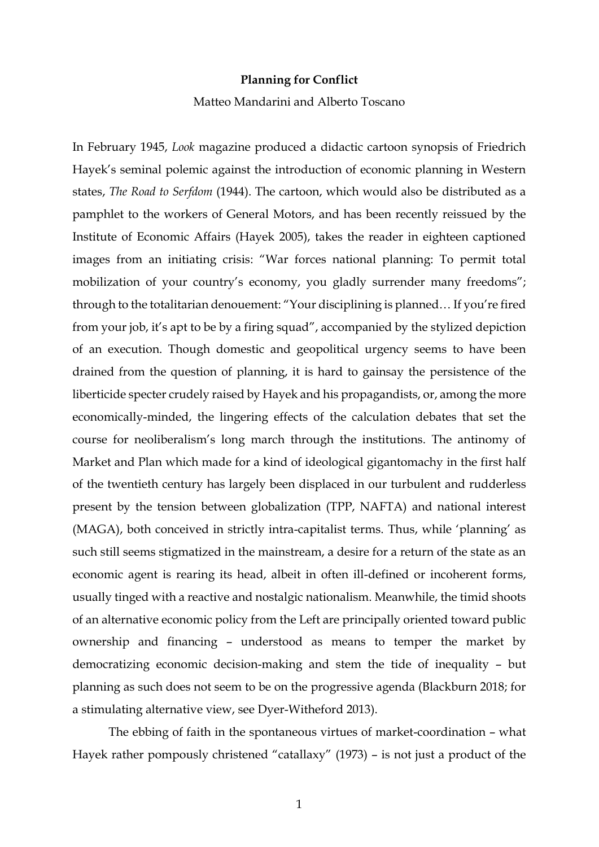#### **Planning for Conflict**

#### Matteo Mandarini and Alberto Toscano

In February 1945, *Look* magazine produced a didactic cartoon synopsis of Friedrich Hayek's seminal polemic against the introduction of economic planning in Western states, *The Road to Serfdom* (1944). The cartoon, which would also be distributed as a pamphlet to the workers of General Motors, and has been recently reissued by the Institute of Economic Affairs (Hayek 2005), takes the reader in eighteen captioned images from an initiating crisis: "War forces national planning: To permit total mobilization of your country's economy, you gladly surrender many freedoms"; through to the totalitarian denouement: "Your disciplining is planned… If you're fired from your job, it's apt to be by a firing squad", accompanied by the stylized depiction of an execution. Though domestic and geopolitical urgency seems to have been drained from the question of planning, it is hard to gainsay the persistence of the liberticide specter crudely raised by Hayek and his propagandists, or, among the more economically-minded, the lingering effects of the calculation debates that set the course for neoliberalism's long march through the institutions. The antinomy of Market and Plan which made for a kind of ideological gigantomachy in the first half of the twentieth century has largely been displaced in our turbulent and rudderless present by the tension between globalization (TPP, NAFTA) and national interest (MAGA), both conceived in strictly intra-capitalist terms. Thus, while 'planning' as such still seems stigmatized in the mainstream, a desire for a return of the state as an economic agent is rearing its head, albeit in often ill-defined or incoherent forms, usually tinged with a reactive and nostalgic nationalism. Meanwhile, the timid shoots of an alternative economic policy from the Left are principally oriented toward public ownership and financing – understood as means to temper the market by democratizing economic decision-making and stem the tide of inequality – but planning as such does not seem to be on the progressive agenda (Blackburn 2018; for a stimulating alternative view, see Dyer-Witheford 2013).

The ebbing of faith in the spontaneous virtues of market-coordination – what Hayek rather pompously christened "catallaxy" (1973) – is not just a product of the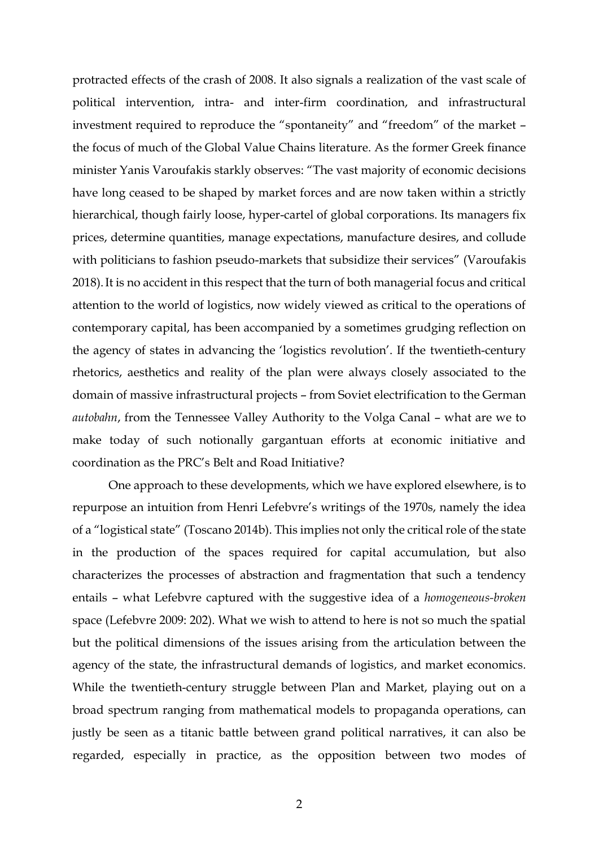protracted effects of the crash of 2008. It also signals a realization of the vast scale of political intervention, intra- and inter-firm coordination, and infrastructural investment required to reproduce the "spontaneity" and "freedom" of the market – the focus of much of the Global Value Chains literature. As the former Greek finance minister Yanis Varoufakis starkly observes: "The vast majority of economic decisions have long ceased to be shaped by market forces and are now taken within a strictly hierarchical, though fairly loose, hyper-cartel of global corporations. Its managers fix prices, determine quantities, manage expectations, manufacture desires, and collude with politicians to fashion pseudo-markets that subsidize their services" (Varoufakis 2018).It is no accident in this respect that the turn of both managerial focus and critical attention to the world of logistics, now widely viewed as critical to the operations of contemporary capital, has been accompanied by a sometimes grudging reflection on the agency of states in advancing the 'logistics revolution'. If the twentieth-century rhetorics, aesthetics and reality of the plan were always closely associated to the domain of massive infrastructural projects – from Soviet electrification to the German *autobahn*, from the Tennessee Valley Authority to the Volga Canal – what are we to make today of such notionally gargantuan efforts at economic initiative and coordination as the PRC's Belt and Road Initiative?

One approach to these developments, which we have explored elsewhere, is to repurpose an intuition from Henri Lefebvre's writings of the 1970s, namely the idea of a "logistical state" (Toscano 2014b). This implies not only the critical role of the state in the production of the spaces required for capital accumulation, but also characterizes the processes of abstraction and fragmentation that such a tendency entails – what Lefebvre captured with the suggestive idea of a *homogeneous-broken*  space (Lefebvre 2009: 202). What we wish to attend to here is not so much the spatial but the political dimensions of the issues arising from the articulation between the agency of the state, the infrastructural demands of logistics, and market economics. While the twentieth-century struggle between Plan and Market, playing out on a broad spectrum ranging from mathematical models to propaganda operations, can justly be seen as a titanic battle between grand political narratives, it can also be regarded, especially in practice, as the opposition between two modes of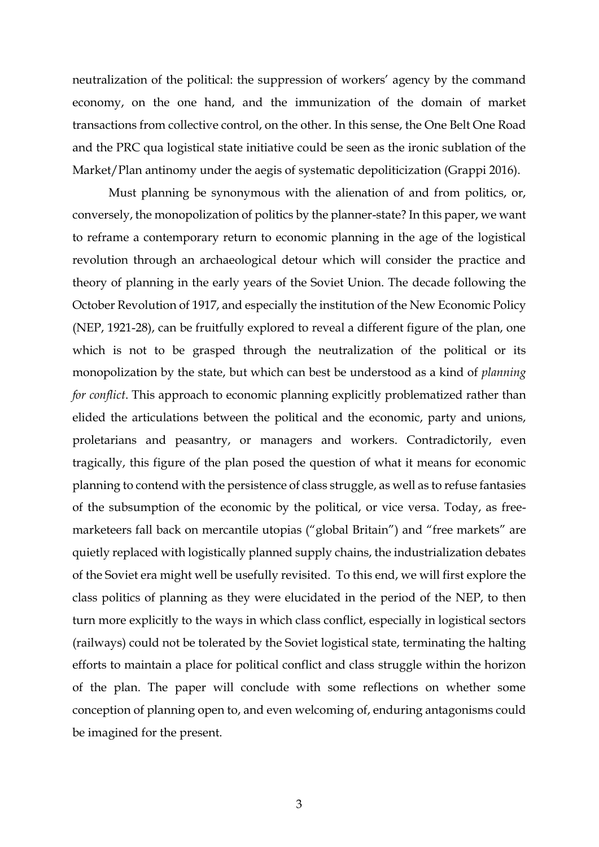neutralization of the political: the suppression of workers' agency by the command economy, on the one hand, and the immunization of the domain of market transactions from collective control, on the other. In this sense, the One Belt One Road and the PRC qua logistical state initiative could be seen as the ironic sublation of the Market/Plan antinomy under the aegis of systematic depoliticization (Grappi 2016).

Must planning be synonymous with the alienation of and from politics, or, conversely, the monopolization of politics by the planner-state? In this paper, we want to reframe a contemporary return to economic planning in the age of the logistical revolution through an archaeological detour which will consider the practice and theory of planning in the early years of the Soviet Union. The decade following the October Revolution of 1917, and especially the institution of the New Economic Policy (NEP, 1921-28), can be fruitfully explored to reveal a different figure of the plan, one which is not to be grasped through the neutralization of the political or its monopolization by the state, but which can best be understood as a kind of *planning for conflict*. This approach to economic planning explicitly problematized rather than elided the articulations between the political and the economic, party and unions, proletarians and peasantry, or managers and workers. Contradictorily, even tragically, this figure of the plan posed the question of what it means for economic planning to contend with the persistence of class struggle, as well as to refuse fantasies of the subsumption of the economic by the political, or vice versa. Today, as freemarketeers fall back on mercantile utopias ("global Britain") and "free markets" are quietly replaced with logistically planned supply chains, the industrialization debates of the Soviet era might well be usefully revisited. To this end, we will first explore the class politics of planning as they were elucidated in the period of the NEP, to then turn more explicitly to the ways in which class conflict, especially in logistical sectors (railways) could not be tolerated by the Soviet logistical state, terminating the halting efforts to maintain a place for political conflict and class struggle within the horizon of the plan. The paper will conclude with some reflections on whether some conception of planning open to, and even welcoming of, enduring antagonisms could be imagined for the present.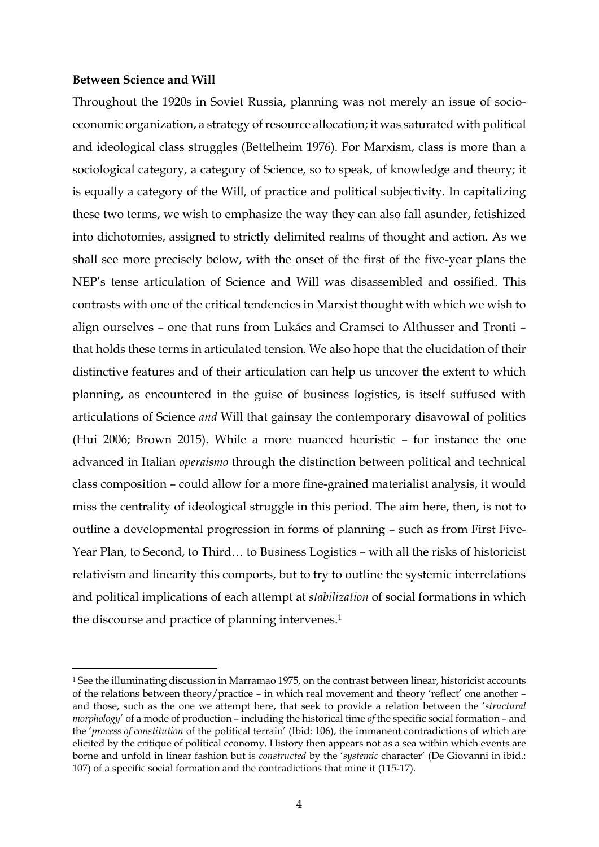### **Between Science and Will**

-

Throughout the 1920s in Soviet Russia, planning was not merely an issue of socioeconomic organization, a strategy of resource allocation; it was saturated with political and ideological class struggles (Bettelheim 1976). For Marxism, class is more than a sociological category, a category of Science, so to speak, of knowledge and theory; it is equally a category of the Will, of practice and political subjectivity. In capitalizing these two terms, we wish to emphasize the way they can also fall asunder, fetishized into dichotomies, assigned to strictly delimited realms of thought and action. As we shall see more precisely below, with the onset of the first of the five-year plans the NEP's tense articulation of Science and Will was disassembled and ossified. This contrasts with one of the critical tendencies in Marxist thought with which we wish to align ourselves – one that runs from Lukács and Gramsci to Althusser and Tronti – that holds these terms in articulated tension. We also hope that the elucidation of their distinctive features and of their articulation can help us uncover the extent to which planning, as encountered in the guise of business logistics, is itself suffused with articulations of Science *and* Will that gainsay the contemporary disavowal of politics (Hui 2006; Brown 2015). While a more nuanced heuristic – for instance the one advanced in Italian *operaismo* through the distinction between political and technical class composition – could allow for a more fine-grained materialist analysis, it would miss the centrality of ideological struggle in this period. The aim here, then, is not to outline a developmental progression in forms of planning – such as from First Five-Year Plan, to Second, to Third… to Business Logistics – with all the risks of historicist relativism and linearity this comports, but to try to outline the systemic interrelations and political implications of each attempt at *stabilization* of social formations in which the discourse and practice of planning intervenes. 1

<sup>1</sup> See the illuminating discussion in Marramao 1975, on the contrast between linear, historicist accounts of the relations between theory/practice – in which real movement and theory 'reflect' one another – and those, such as the one we attempt here, that seek to provide a relation between the '*structural morphology*' of a mode of production – including the historical time *of* the specific social formation – and the '*process of constitution* of the political terrain' (Ibid: 106), the immanent contradictions of which are elicited by the critique of political economy. History then appears not as a sea within which events are borne and unfold in linear fashion but is *constructed* by the '*systemic* character' (De Giovanni in ibid.: 107) of a specific social formation and the contradictions that mine it (115-17).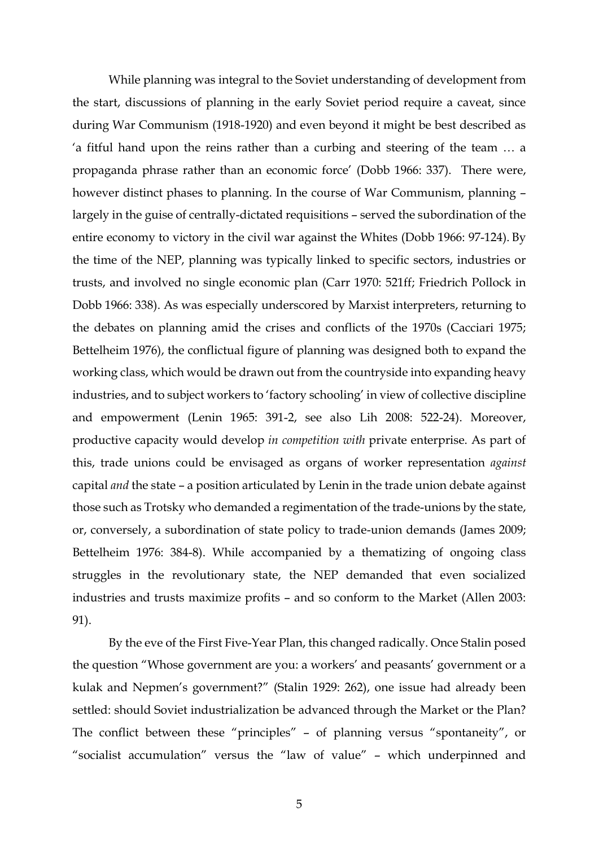While planning was integral to the Soviet understanding of development from the start, discussions of planning in the early Soviet period require a caveat, since during War Communism (1918-1920) and even beyond it might be best described as 'a fitful hand upon the reins rather than a curbing and steering of the team … a propaganda phrase rather than an economic force' (Dobb 1966: 337). There were, however distinct phases to planning. In the course of War Communism, planning – largely in the guise of centrally-dictated requisitions – served the subordination of the entire economy to victory in the civil war against the Whites (Dobb 1966: 97-124). By the time of the NEP, planning was typically linked to specific sectors, industries or trusts, and involved no single economic plan (Carr 1970: 521ff; Friedrich Pollock in Dobb 1966: 338). As was especially underscored by Marxist interpreters, returning to the debates on planning amid the crises and conflicts of the 1970s (Cacciari 1975; Bettelheim 1976), the conflictual figure of planning was designed both to expand the working class, which would be drawn out from the countryside into expanding heavy industries, and to subject workers to 'factory schooling' in view of collective discipline and empowerment (Lenin 1965: 391-2, see also Lih 2008: 522-24). Moreover, productive capacity would develop *in competition with* private enterprise. As part of this, trade unions could be envisaged as organs of worker representation *against* capital *and* the state – a position articulated by Lenin in the trade union debate against those such as Trotsky who demanded a regimentation of the trade-unions by the state, or, conversely, a subordination of state policy to trade-union demands (James 2009; Bettelheim 1976: 384-8). While accompanied by a thematizing of ongoing class struggles in the revolutionary state, the NEP demanded that even socialized industries and trusts maximize profits – and so conform to the Market (Allen 2003: 91).

By the eve of the First Five-Year Plan, this changed radically. Once Stalin posed the question "Whose government are you: a workers' and peasants' government or a kulak and Nepmen's government?" (Stalin 1929: 262), one issue had already been settled: should Soviet industrialization be advanced through the Market or the Plan? The conflict between these "principles" – of planning versus "spontaneity", or "socialist accumulation" versus the "law of value" – which underpinned and

5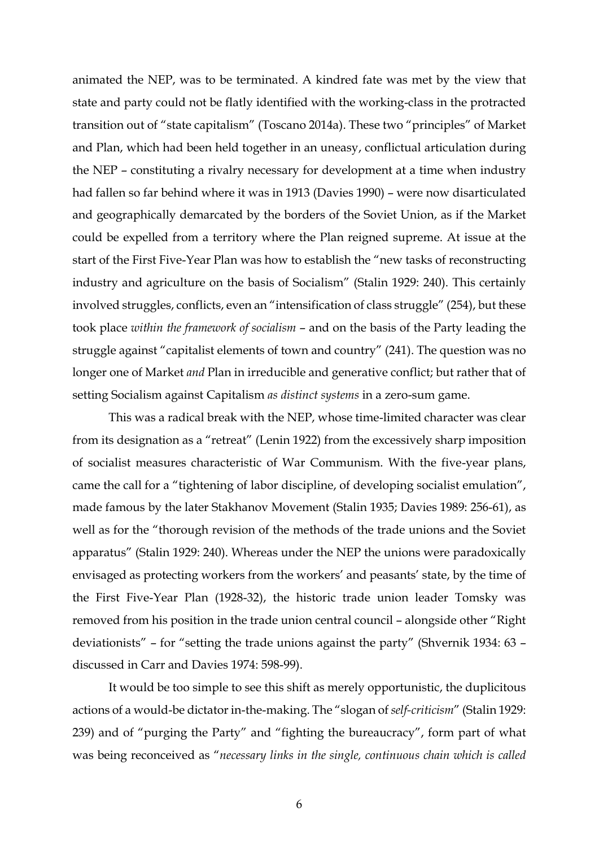animated the NEP, was to be terminated. A kindred fate was met by the view that state and party could not be flatly identified with the working-class in the protracted transition out of "state capitalism" (Toscano 2014a). These two "principles" of Market and Plan, which had been held together in an uneasy, conflictual articulation during the NEP – constituting a rivalry necessary for development at a time when industry had fallen so far behind where it was in 1913 (Davies 1990) – were now disarticulated and geographically demarcated by the borders of the Soviet Union, as if the Market could be expelled from a territory where the Plan reigned supreme. At issue at the start of the First Five-Year Plan was how to establish the "new tasks of reconstructing industry and agriculture on the basis of Socialism" (Stalin 1929: 240). This certainly involved struggles, conflicts, even an "intensification of class struggle" (254), but these took place *within the framework of socialism* – and on the basis of the Party leading the struggle against "capitalist elements of town and country" (241). The question was no longer one of Market *and* Plan in irreducible and generative conflict; but rather that of setting Socialism against Capitalism *as distinct systems* in a zero-sum game.

This was a radical break with the NEP, whose time-limited character was clear from its designation as a "retreat" (Lenin 1922) from the excessively sharp imposition of socialist measures characteristic of War Communism. With the five-year plans, came the call for a "tightening of labor discipline, of developing socialist emulation", made famous by the later Stakhanov Movement (Stalin 1935; Davies 1989: 256-61), as well as for the "thorough revision of the methods of the trade unions and the Soviet apparatus" (Stalin 1929: 240). Whereas under the NEP the unions were paradoxically envisaged as protecting workers from the workers' and peasants' state, by the time of the First Five-Year Plan (1928-32), the historic trade union leader Tomsky was removed from his position in the trade union central council – alongside other "Right deviationists" – for "setting the trade unions against the party" (Shvernik 1934: 63 – discussed in Carr and Davies 1974: 598-99).

It would be too simple to see this shift as merely opportunistic, the duplicitous actions of a would-be dictator in-the-making. The "slogan of *self-criticism*" (Stalin 1929: 239) and of "purging the Party" and "fighting the bureaucracy", form part of what was being reconceived as "*necessary links in the single, continuous chain which is called*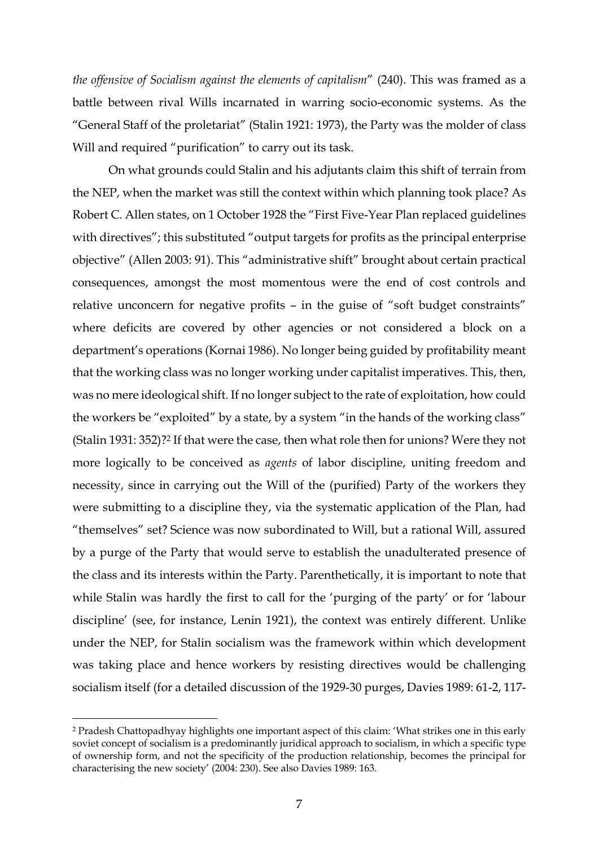*the offensive of Socialism against the elements of capitalism*" (240). This was framed as a battle between rival Wills incarnated in warring socio-economic systems. As the "General Staff of the proletariat" (Stalin 1921: 1973), the Party was the molder of class Will and required "purification" to carry out its task.

On what grounds could Stalin and his adjutants claim this shift of terrain from the NEP, when the market was still the context within which planning took place? As Robert C. Allen states, on 1 October 1928 the "First Five-Year Plan replaced guidelines with directives"; this substituted "output targets for profits as the principal enterprise objective" (Allen 2003: 91). This "administrative shift" brought about certain practical consequences, amongst the most momentous were the end of cost controls and relative unconcern for negative profits – in the guise of "soft budget constraints" where deficits are covered by other agencies or not considered a block on a department's operations (Kornai 1986). No longer being guided by profitability meant that the working class was no longer working under capitalist imperatives. This, then, was no mere ideological shift. If no longer subject to the rate of exploitation, how could the workers be "exploited" by a state, by a system "in the hands of the working class" (Stalin 1931: 352)? <sup>2</sup> If that were the case, then what role then for unions? Were they not more logically to be conceived as *agents* of labor discipline, uniting freedom and necessity, since in carrying out the Will of the (purified) Party of the workers they were submitting to a discipline they, via the systematic application of the Plan, had "themselves" set? Science was now subordinated to Will, but a rational Will, assured by a purge of the Party that would serve to establish the unadulterated presence of the class and its interests within the Party. Parenthetically, it is important to note that while Stalin was hardly the first to call for the 'purging of the party' or for 'labour discipline' (see, for instance, Lenin 1921), the context was entirely different. Unlike under the NEP, for Stalin socialism was the framework within which development was taking place and hence workers by resisting directives would be challenging socialism itself (for a detailed discussion of the 1929-30 purges, Davies 1989: 61-2, 117-

<u>.</u>

<sup>2</sup> Pradesh Chattopadhyay highlights one important aspect of this claim: 'What strikes one in this early soviet concept of socialism is a predominantly juridical approach to socialism, in which a specific type of ownership form, and not the specificity of the production relationship, becomes the principal for characterising the new society' (2004: 230). See also Davies 1989: 163.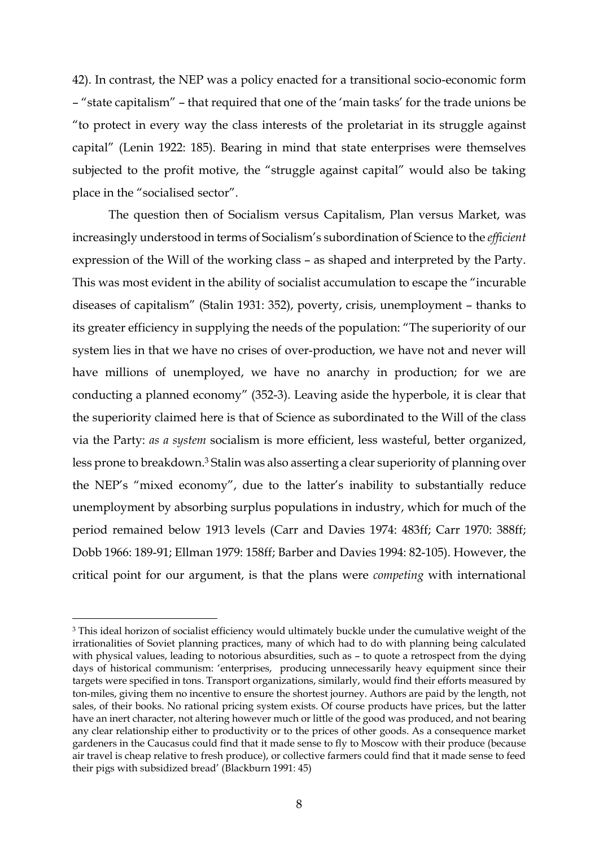42). In contrast, the NEP was a policy enacted for a transitional socio-economic form – "state capitalism" – that required that one of the 'main tasks' for the trade unions be "to protect in every way the class interests of the proletariat in its struggle against capital" (Lenin 1922: 185). Bearing in mind that state enterprises were themselves subjected to the profit motive, the "struggle against capital" would also be taking place in the "socialised sector".

The question then of Socialism versus Capitalism, Plan versus Market, was increasingly understood in terms of Socialism's subordination of Science to the *efficient* expression of the Will of the working class – as shaped and interpreted by the Party. This was most evident in the ability of socialist accumulation to escape the "incurable diseases of capitalism" (Stalin 1931: 352), poverty, crisis, unemployment – thanks to its greater efficiency in supplying the needs of the population: "The superiority of our system lies in that we have no crises of over-production, we have not and never will have millions of unemployed, we have no anarchy in production; for we are conducting a planned economy" (352-3). Leaving aside the hyperbole, it is clear that the superiority claimed here is that of Science as subordinated to the Will of the class via the Party: *as a system* socialism is more efficient, less wasteful, better organized, less prone to breakdown. <sup>3</sup> Stalin was also asserting a clear superiority of planning over the NEP's "mixed economy", due to the latter's inability to substantially reduce unemployment by absorbing surplus populations in industry, which for much of the period remained below 1913 levels (Carr and Davies 1974: 483ff; Carr 1970: 388ff; Dobb 1966: 189-91; Ellman 1979: 158ff; Barber and Davies 1994: 82-105). However, the critical point for our argument, is that the plans were *competing* with international

<u>.</u>

<sup>&</sup>lt;sup>3</sup> This ideal horizon of socialist efficiency would ultimately buckle under the cumulative weight of the irrationalities of Soviet planning practices, many of which had to do with planning being calculated with physical values, leading to notorious absurdities, such as - to quote a retrospect from the dying days of historical communism: 'enterprises, producing unnecessarily heavy equipment since their targets were specified in tons. Transport organizations, similarly, would find their efforts measured by ton-miles, giving them no incentive to ensure the shortest journey. Authors are paid by the length, not sales, of their books. No rational pricing system exists. Of course products have prices, but the latter have an inert character, not altering however much or little of the good was produced, and not bearing any clear relationship either to productivity or to the prices of other goods. As a consequence market gardeners in the Caucasus could find that it made sense to fly to Moscow with their produce (because air travel is cheap relative to fresh produce), or collective farmers could find that it made sense to feed their pigs with subsidized bread' (Blackburn 1991: 45)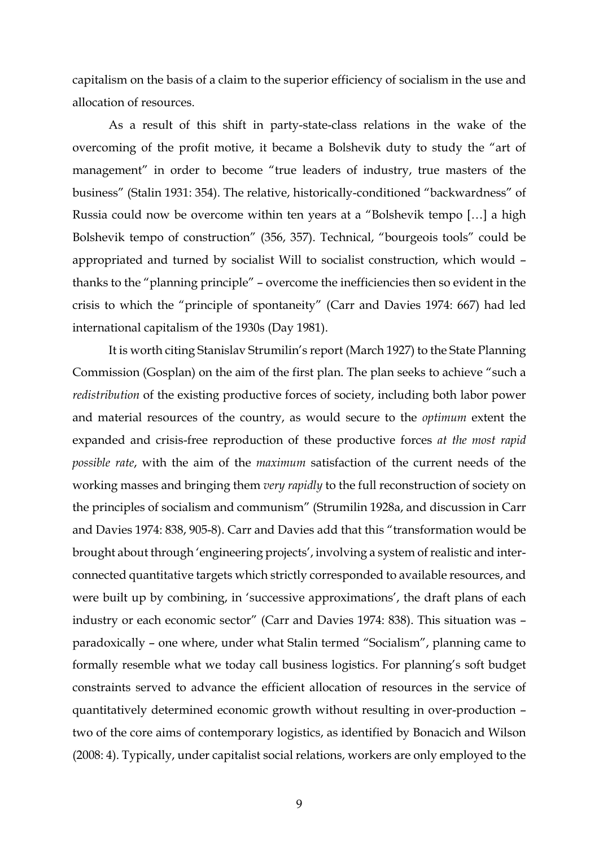capitalism on the basis of a claim to the superior efficiency of socialism in the use and allocation of resources.

As a result of this shift in party-state-class relations in the wake of the overcoming of the profit motive, it became a Bolshevik duty to study the "art of management" in order to become "true leaders of industry, true masters of the business" (Stalin 1931: 354). The relative, historically-conditioned "backwardness" of Russia could now be overcome within ten years at a "Bolshevik tempo […] a high Bolshevik tempo of construction" (356, 357). Technical, "bourgeois tools" could be appropriated and turned by socialist Will to socialist construction, which would – thanks to the "planning principle" – overcome the inefficiencies then so evident in the crisis to which the "principle of spontaneity" (Carr and Davies 1974: 667) had led international capitalism of the 1930s (Day 1981).

It is worth citing Stanislav Strumilin's report (March 1927) to the State Planning Commission (Gosplan) on the aim of the first plan. The plan seeks to achieve "such a *redistribution* of the existing productive forces of society, including both labor power and material resources of the country, as would secure to the *optimum* extent the expanded and crisis-free reproduction of these productive forces *at the most rapid possible rate*, with the aim of the *maximum* satisfaction of the current needs of the working masses and bringing them *very rapidly* to the full reconstruction of society on the principles of socialism and communism" (Strumilin 1928a, and discussion in Carr and Davies 1974: 838, 905-8). Carr and Davies add that this "transformation would be brought about through 'engineering projects', involving a system of realistic and interconnected quantitative targets which strictly corresponded to available resources, and were built up by combining, in 'successive approximations', the draft plans of each industry or each economic sector" (Carr and Davies 1974: 838). This situation was – paradoxically – one where, under what Stalin termed "Socialism", planning came to formally resemble what we today call business logistics. For planning's soft budget constraints served to advance the efficient allocation of resources in the service of quantitatively determined economic growth without resulting in over-production – two of the core aims of contemporary logistics, as identified by Bonacich and Wilson (2008: 4). Typically, under capitalist social relations, workers are only employed to the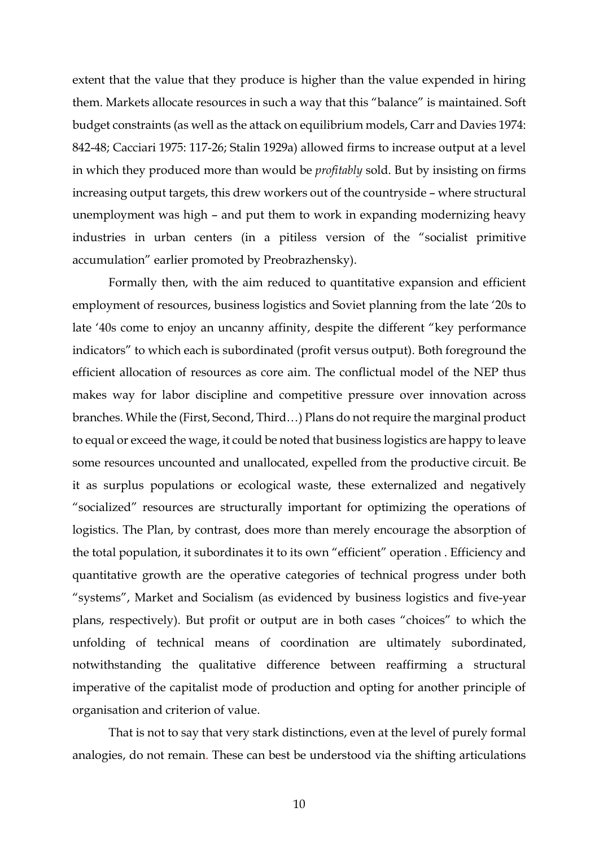extent that the value that they produce is higher than the value expended in hiring them. Markets allocate resources in such a way that this "balance" is maintained. Soft budget constraints (as well as the attack on equilibrium models, Carr and Davies 1974: 842-48; Cacciari 1975: 117-26; Stalin 1929a) allowed firms to increase output at a level in which they produced more than would be *profitably* sold. But by insisting on firms increasing output targets, this drew workers out of the countryside – where structural unemployment was high – and put them to work in expanding modernizing heavy industries in urban centers (in a pitiless version of the "socialist primitive accumulation" earlier promoted by Preobrazhensky).

Formally then, with the aim reduced to quantitative expansion and efficient employment of resources, business logistics and Soviet planning from the late '20s to late '40s come to enjoy an uncanny affinity, despite the different "key performance indicators" to which each is subordinated (profit versus output). Both foreground the efficient allocation of resources as core aim. The conflictual model of the NEP thus makes way for labor discipline and competitive pressure over innovation across branches. While the (First, Second, Third…) Plans do not require the marginal product to equal or exceed the wage, it could be noted that business logistics are happy to leave some resources uncounted and unallocated, expelled from the productive circuit. Be it as surplus populations or ecological waste, these externalized and negatively "socialized" resources are structurally important for optimizing the operations of logistics. The Plan, by contrast, does more than merely encourage the absorption of the total population, it subordinates it to its own "efficient" operation . Efficiency and quantitative growth are the operative categories of technical progress under both "systems", Market and Socialism (as evidenced by business logistics and five-year plans, respectively). But profit or output are in both cases "choices" to which the unfolding of technical means of coordination are ultimately subordinated, notwithstanding the qualitative difference between reaffirming a structural imperative of the capitalist mode of production and opting for another principle of organisation and criterion of value.

That is not to say that very stark distinctions, even at the level of purely formal analogies, do not remain. These can best be understood via the shifting articulations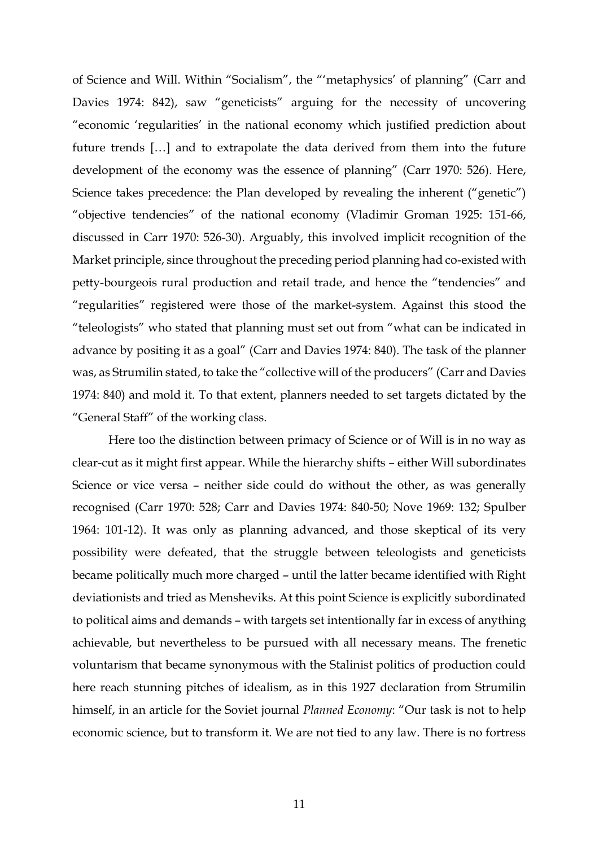of Science and Will. Within "Socialism", the "'metaphysics' of planning" (Carr and Davies 1974: 842), saw "geneticists" arguing for the necessity of uncovering "economic 'regularities' in the national economy which justified prediction about future trends […] and to extrapolate the data derived from them into the future development of the economy was the essence of planning" (Carr 1970: 526). Here, Science takes precedence: the Plan developed by revealing the inherent ("genetic") "objective tendencies" of the national economy (Vladimir Groman 1925: 151-66, discussed in Carr 1970: 526-30). Arguably, this involved implicit recognition of the Market principle, since throughout the preceding period planning had co-existed with petty-bourgeois rural production and retail trade, and hence the "tendencies" and "regularities" registered were those of the market-system. Against this stood the "teleologists" who stated that planning must set out from "what can be indicated in advance by positing it as a goal" (Carr and Davies 1974: 840). The task of the planner was, as Strumilin stated, to take the "collective will of the producers" (Carr and Davies 1974: 840) and mold it. To that extent, planners needed to set targets dictated by the "General Staff" of the working class.

Here too the distinction between primacy of Science or of Will is in no way as clear-cut as it might first appear. While the hierarchy shifts – either Will subordinates Science or vice versa – neither side could do without the other, as was generally recognised (Carr 1970: 528; Carr and Davies 1974: 840-50; Nove 1969: 132; Spulber 1964: 101-12). It was only as planning advanced, and those skeptical of its very possibility were defeated, that the struggle between teleologists and geneticists became politically much more charged – until the latter became identified with Right deviationists and tried as Mensheviks. At this point Science is explicitly subordinated to political aims and demands – with targets set intentionally far in excess of anything achievable, but nevertheless to be pursued with all necessary means. The frenetic voluntarism that became synonymous with the Stalinist politics of production could here reach stunning pitches of idealism, as in this 1927 declaration from Strumilin himself, in an article for the Soviet journal *Planned Economy*: "Our task is not to help economic science, but to transform it. We are not tied to any law. There is no fortress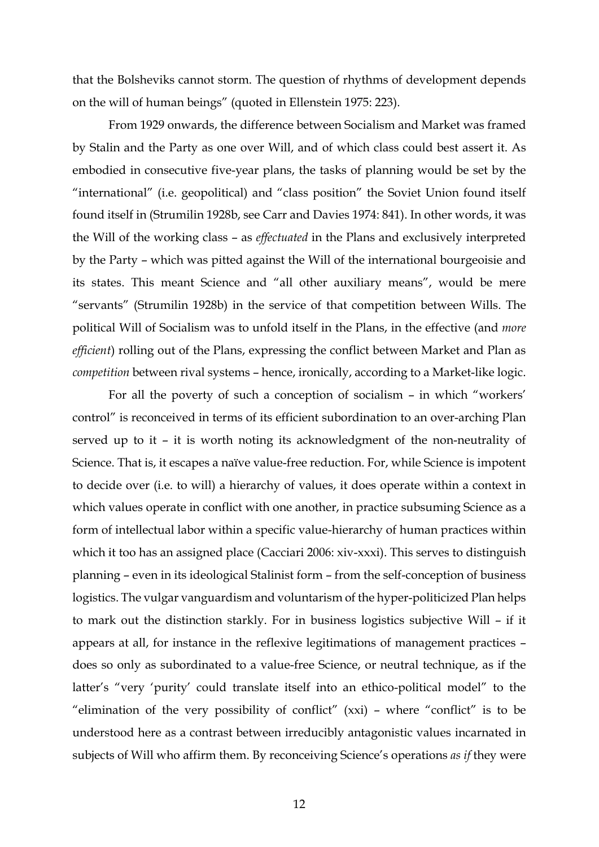that the Bolsheviks cannot storm. The question of rhythms of development depends on the will of human beings" (quoted in Ellenstein 1975: 223).

From 1929 onwards, the difference between Socialism and Market was framed by Stalin and the Party as one over Will, and of which class could best assert it. As embodied in consecutive five-year plans, the tasks of planning would be set by the "international" (i.e. geopolitical) and "class position" the Soviet Union found itself found itself in (Strumilin 1928b, see Carr and Davies 1974: 841). In other words, it was the Will of the working class – as *effectuated* in the Plans and exclusively interpreted by the Party – which was pitted against the Will of the international bourgeoisie and its states. This meant Science and "all other auxiliary means", would be mere "servants" (Strumilin 1928b) in the service of that competition between Wills. The political Will of Socialism was to unfold itself in the Plans, in the effective (and *more efficient*) rolling out of the Plans, expressing the conflict between Market and Plan as *competition* between rival systems – hence, ironically, according to a Market-like logic.

For all the poverty of such a conception of socialism – in which "workers' control" is reconceived in terms of its efficient subordination to an over-arching Plan served up to it – it is worth noting its acknowledgment of the non-neutrality of Science. That is, it escapes a naïve value-free reduction. For, while Science is impotent to decide over (i.e. to will) a hierarchy of values, it does operate within a context in which values operate in conflict with one another, in practice subsuming Science as a form of intellectual labor within a specific value-hierarchy of human practices within which it too has an assigned place (Cacciari 2006: xiv-xxxi). This serves to distinguish planning – even in its ideological Stalinist form – from the self-conception of business logistics. The vulgar vanguardism and voluntarism of the hyper-politicized Plan helps to mark out the distinction starkly. For in business logistics subjective Will – if it appears at all, for instance in the reflexive legitimations of management practices – does so only as subordinated to a value-free Science, or neutral technique, as if the latter's "very 'purity' could translate itself into an ethico-political model" to the "elimination of the very possibility of conflict" (xxi) – where "conflict" is to be understood here as a contrast between irreducibly antagonistic values incarnated in subjects of Will who affirm them. By reconceiving Science's operations *as if* they were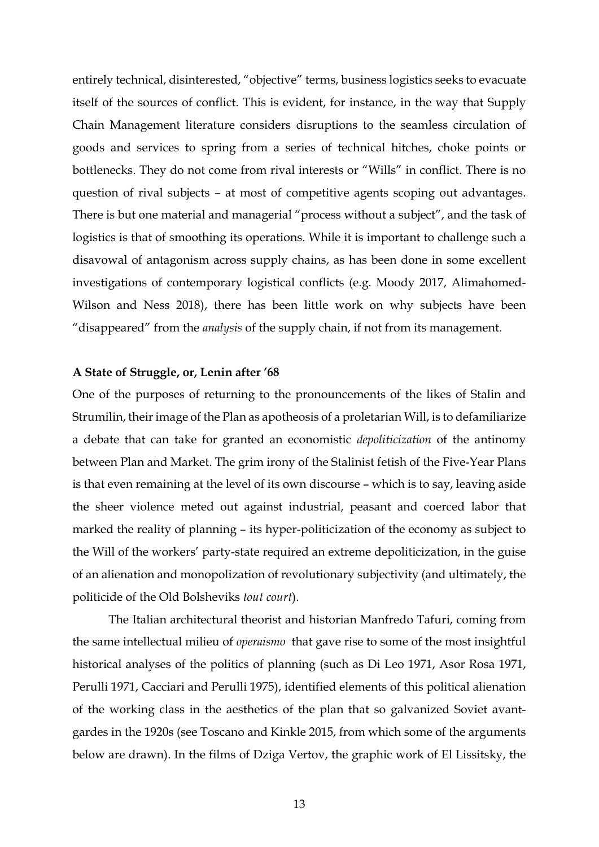entirely technical, disinterested, "objective" terms, business logistics seeks to evacuate itself of the sources of conflict. This is evident, for instance, in the way that Supply Chain Management literature considers disruptions to the seamless circulation of goods and services to spring from a series of technical hitches, choke points or bottlenecks. They do not come from rival interests or "Wills" in conflict. There is no question of rival subjects – at most of competitive agents scoping out advantages. There is but one material and managerial "process without a subject", and the task of logistics is that of smoothing its operations. While it is important to challenge such a disavowal of antagonism across supply chains, as has been done in some excellent investigations of contemporary logistical conflicts (e.g. Moody 2017, Alimahomed-Wilson and Ness 2018), there has been little work on why subjects have been "disappeared" from the *analysis* of the supply chain, if not from its management.

## **A State of Struggle, or, Lenin after '68**

One of the purposes of returning to the pronouncements of the likes of Stalin and Strumilin, their image of the Plan as apotheosis of a proletarian Will, is to defamiliarize a debate that can take for granted an economistic *depoliticization* of the antinomy between Plan and Market. The grim irony of the Stalinist fetish of the Five-Year Plans is that even remaining at the level of its own discourse – which is to say, leaving aside the sheer violence meted out against industrial, peasant and coerced labor that marked the reality of planning – its hyper-politicization of the economy as subject to the Will of the workers' party-state required an extreme depoliticization, in the guise of an alienation and monopolization of revolutionary subjectivity (and ultimately, the politicide of the Old Bolsheviks *tout court*).

The Italian architectural theorist and historian Manfredo Tafuri, coming from the same intellectual milieu of *operaismo* that gave rise to some of the most insightful historical analyses of the politics of planning (such as Di Leo 1971, Asor Rosa 1971, Perulli 1971, Cacciari and Perulli 1975), identified elements of this political alienation of the working class in the aesthetics of the plan that so galvanized Soviet avantgardes in the 1920s (see Toscano and Kinkle 2015, from which some of the arguments below are drawn). In the films of Dziga Vertov, the graphic work of El Lissitsky, the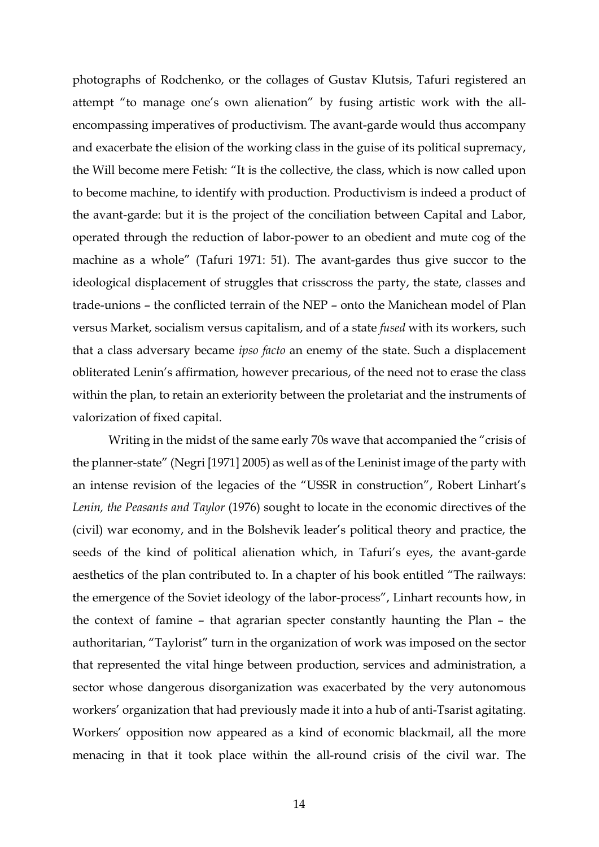photographs of Rodchenko, or the collages of Gustav Klutsis, Tafuri registered an attempt "to manage one's own alienation" by fusing artistic work with the allencompassing imperatives of productivism. The avant-garde would thus accompany and exacerbate the elision of the working class in the guise of its political supremacy, the Will become mere Fetish: "It is the collective, the class, which is now called upon to become machine, to identify with production. Productivism is indeed a product of the avant-garde: but it is the project of the conciliation between Capital and Labor, operated through the reduction of labor-power to an obedient and mute cog of the machine as a whole" (Tafuri 1971: 51). The avant-gardes thus give succor to the ideological displacement of struggles that crisscross the party, the state, classes and trade-unions – the conflicted terrain of the NEP – onto the Manichean model of Plan versus Market, socialism versus capitalism, and of a state *fused* with its workers, such that a class adversary became *ipso facto* an enemy of the state. Such a displacement obliterated Lenin's affirmation, however precarious, of the need not to erase the class within the plan, to retain an exteriority between the proletariat and the instruments of valorization of fixed capital.

Writing in the midst of the same early 70s wave that accompanied the "crisis of the planner-state" (Negri [1971] 2005) as well as of the Leninist image of the party with an intense revision of the legacies of the "USSR in construction", Robert Linhart's *Lenin, the Peasants and Taylor* (1976) sought to locate in the economic directives of the (civil) war economy, and in the Bolshevik leader's political theory and practice, the seeds of the kind of political alienation which, in Tafuri's eyes, the avant-garde aesthetics of the plan contributed to. In a chapter of his book entitled "The railways: the emergence of the Soviet ideology of the labor-process", Linhart recounts how, in the context of famine – that agrarian specter constantly haunting the Plan – the authoritarian, "Taylorist" turn in the organization of work was imposed on the sector that represented the vital hinge between production, services and administration, a sector whose dangerous disorganization was exacerbated by the very autonomous workers' organization that had previously made it into a hub of anti-Tsarist agitating. Workers' opposition now appeared as a kind of economic blackmail, all the more menacing in that it took place within the all-round crisis of the civil war. The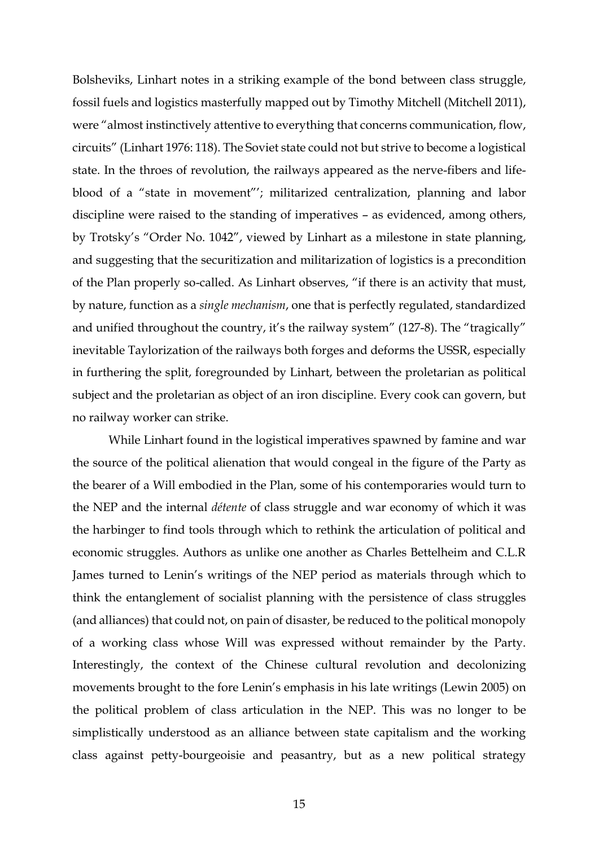Bolsheviks, Linhart notes in a striking example of the bond between class struggle, fossil fuels and logistics masterfully mapped out by Timothy Mitchell (Mitchell 2011), were "almost instinctively attentive to everything that concerns communication, flow, circuits" (Linhart 1976: 118). The Soviet state could not but strive to become a logistical state. In the throes of revolution, the railways appeared as the nerve-fibers and lifeblood of a "state in movement"'; militarized centralization, planning and labor discipline were raised to the standing of imperatives – as evidenced, among others, by Trotsky's "Order No. 1042", viewed by Linhart as a milestone in state planning, and suggesting that the securitization and militarization of logistics is a precondition of the Plan properly so-called. As Linhart observes, "if there is an activity that must, by nature, function as a *single mechanism*, one that is perfectly regulated, standardized and unified throughout the country, it's the railway system" (127-8). The "tragically" inevitable Taylorization of the railways both forges and deforms the USSR, especially in furthering the split, foregrounded by Linhart, between the proletarian as political subject and the proletarian as object of an iron discipline. Every cook can govern, but no railway worker can strike.

While Linhart found in the logistical imperatives spawned by famine and war the source of the political alienation that would congeal in the figure of the Party as the bearer of a Will embodied in the Plan, some of his contemporaries would turn to the NEP and the internal *détente* of class struggle and war economy of which it was the harbinger to find tools through which to rethink the articulation of political and economic struggles. Authors as unlike one another as Charles Bettelheim and C.L.R James turned to Lenin's writings of the NEP period as materials through which to think the entanglement of socialist planning with the persistence of class struggles (and alliances) that could not, on pain of disaster, be reduced to the political monopoly of a working class whose Will was expressed without remainder by the Party. Interestingly, the context of the Chinese cultural revolution and decolonizing movements brought to the fore Lenin's emphasis in his late writings (Lewin 2005) on the political problem of class articulation in the NEP. This was no longer to be simplistically understood as an alliance between state capitalism and the working class against petty-bourgeoisie and peasantry, but as a new political strategy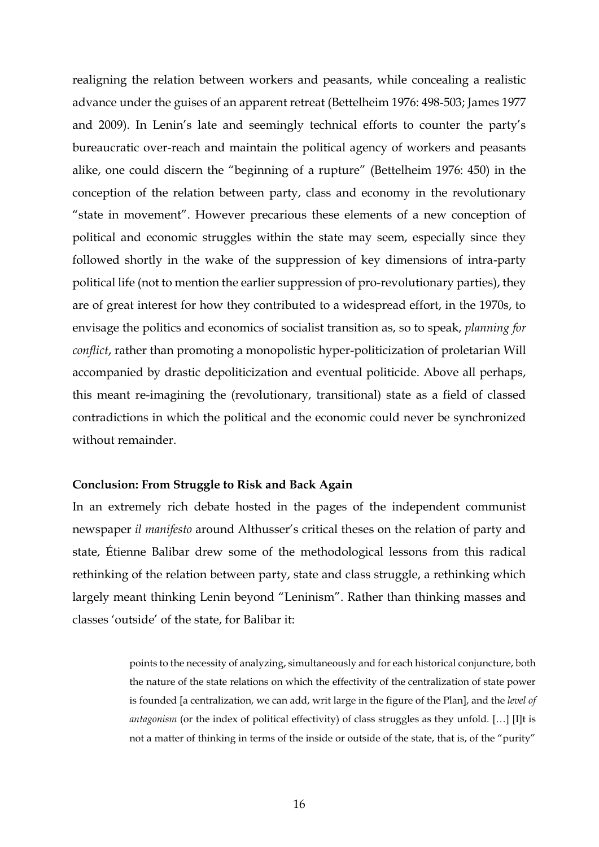realigning the relation between workers and peasants, while concealing a realistic advance under the guises of an apparent retreat (Bettelheim 1976: 498-503; James 1977 and 2009). In Lenin's late and seemingly technical efforts to counter the party's bureaucratic over-reach and maintain the political agency of workers and peasants alike, one could discern the "beginning of a rupture" (Bettelheim 1976: 450) in the conception of the relation between party, class and economy in the revolutionary "state in movement". However precarious these elements of a new conception of political and economic struggles within the state may seem, especially since they followed shortly in the wake of the suppression of key dimensions of intra-party political life (not to mention the earlier suppression of pro-revolutionary parties), they are of great interest for how they contributed to a widespread effort, in the 1970s, to envisage the politics and economics of socialist transition as, so to speak, *planning for conflict*, rather than promoting a monopolistic hyper-politicization of proletarian Will accompanied by drastic depoliticization and eventual politicide. Above all perhaps, this meant re-imagining the (revolutionary, transitional) state as a field of classed contradictions in which the political and the economic could never be synchronized without remainder.

#### **Conclusion: From Struggle to Risk and Back Again**

In an extremely rich debate hosted in the pages of the independent communist newspaper *il manifesto* around Althusser's critical theses on the relation of party and state, Étienne Balibar drew some of the methodological lessons from this radical rethinking of the relation between party, state and class struggle, a rethinking which largely meant thinking Lenin beyond "Leninism". Rather than thinking masses and classes 'outside' of the state, for Balibar it:

> points to the necessity of analyzing, simultaneously and for each historical conjuncture, both the nature of the state relations on which the effectivity of the centralization of state power is founded [a centralization, we can add, writ large in the figure of the Plan], and the *level of antagonism* (or the index of political effectivity) of class struggles as they unfold. […] [I]t is not a matter of thinking in terms of the inside or outside of the state, that is, of the "purity"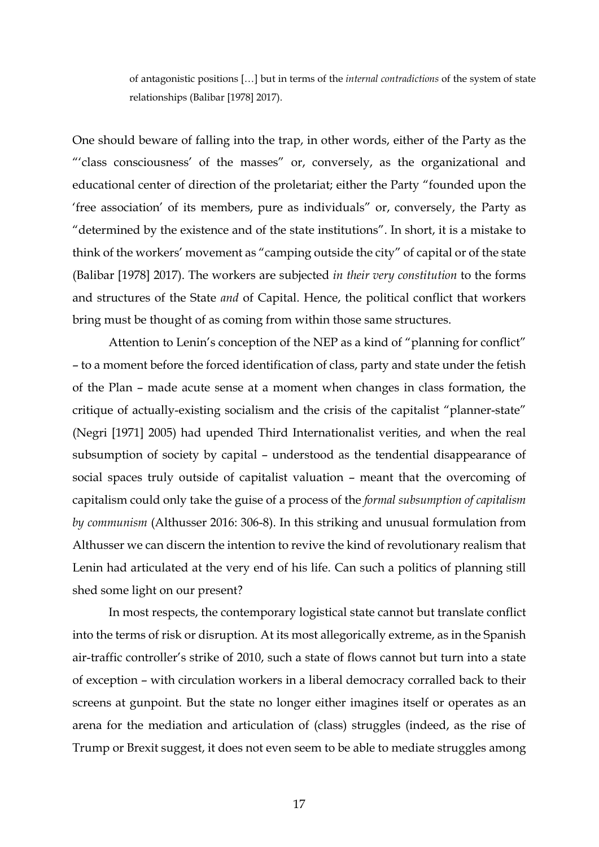of antagonistic positions […] but in terms of the *internal contradictions* of the system of state relationships (Balibar [1978] 2017).

One should beware of falling into the trap, in other words, either of the Party as the "'class consciousness' of the masses" or, conversely, as the organizational and educational center of direction of the proletariat; either the Party "founded upon the 'free association' of its members, pure as individuals" or, conversely, the Party as "determined by the existence and of the state institutions". In short, it is a mistake to think of the workers' movement as "camping outside the city" of capital or of the state (Balibar [1978] 2017). The workers are subjected *in their very constitution* to the forms and structures of the State *and* of Capital. Hence, the political conflict that workers bring must be thought of as coming from within those same structures.

Attention to Lenin's conception of the NEP as a kind of "planning for conflict" – to a moment before the forced identification of class, party and state under the fetish of the Plan – made acute sense at a moment when changes in class formation, the critique of actually-existing socialism and the crisis of the capitalist "planner-state" (Negri [1971] 2005) had upended Third Internationalist verities, and when the real subsumption of society by capital – understood as the tendential disappearance of social spaces truly outside of capitalist valuation – meant that the overcoming of capitalism could only take the guise of a process of the *formal subsumption of capitalism by communism* (Althusser 2016: 306-8). In this striking and unusual formulation from Althusser we can discern the intention to revive the kind of revolutionary realism that Lenin had articulated at the very end of his life. Can such a politics of planning still shed some light on our present?

In most respects, the contemporary logistical state cannot but translate conflict into the terms of risk or disruption. At its most allegorically extreme, as in the Spanish air-traffic controller's strike of 2010, such a state of flows cannot but turn into a state of exception – with circulation workers in a liberal democracy corralled back to their screens at gunpoint. But the state no longer either imagines itself or operates as an arena for the mediation and articulation of (class) struggles (indeed, as the rise of Trump or Brexit suggest, it does not even seem to be able to mediate struggles among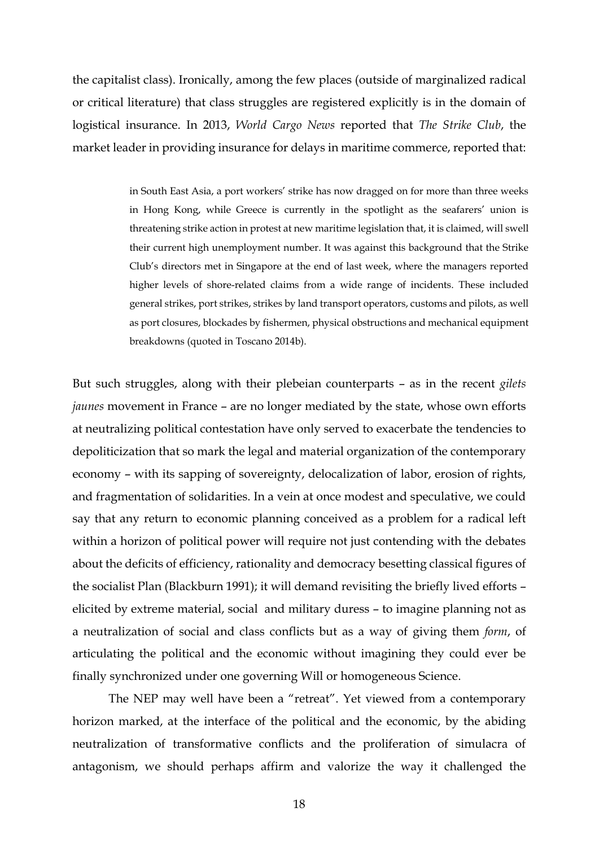the capitalist class). Ironically, among the few places (outside of marginalized radical or critical literature) that class struggles are registered explicitly is in the domain of logistical insurance. In 2013, *World Cargo News* reported that *The Strike Club*, the market leader in providing insurance for delays in maritime commerce, reported that:

> in South East Asia, a port workers' strike has now dragged on for more than three weeks in Hong Kong, while Greece is currently in the spotlight as the seafarers' union is threatening strike action in protest at new maritime legislation that, it is claimed, will swell their current high unemployment number. It was against this background that the Strike Club's directors met in Singapore at the end of last week, where the managers reported higher levels of shore-related claims from a wide range of incidents. These included general strikes, port strikes, strikes by land transport operators, customs and pilots, as well as port closures, blockades by fishermen, physical obstructions and mechanical equipment breakdowns (quoted in Toscano 2014b).

But such struggles, along with their plebeian counterparts – as in the recent *gilets jaunes* movement in France – are no longer mediated by the state, whose own efforts at neutralizing political contestation have only served to exacerbate the tendencies to depoliticization that so mark the legal and material organization of the contemporary economy – with its sapping of sovereignty, delocalization of labor, erosion of rights, and fragmentation of solidarities. In a vein at once modest and speculative, we could say that any return to economic planning conceived as a problem for a radical left within a horizon of political power will require not just contending with the debates about the deficits of efficiency, rationality and democracy besetting classical figures of the socialist Plan (Blackburn 1991); it will demand revisiting the briefly lived efforts – elicited by extreme material, social and military duress – to imagine planning not as a neutralization of social and class conflicts but as a way of giving them *form*, of articulating the political and the economic without imagining they could ever be finally synchronized under one governing Will or homogeneous Science.

The NEP may well have been a "retreat". Yet viewed from a contemporary horizon marked, at the interface of the political and the economic, by the abiding neutralization of transformative conflicts and the proliferation of simulacra of antagonism, we should perhaps affirm and valorize the way it challenged the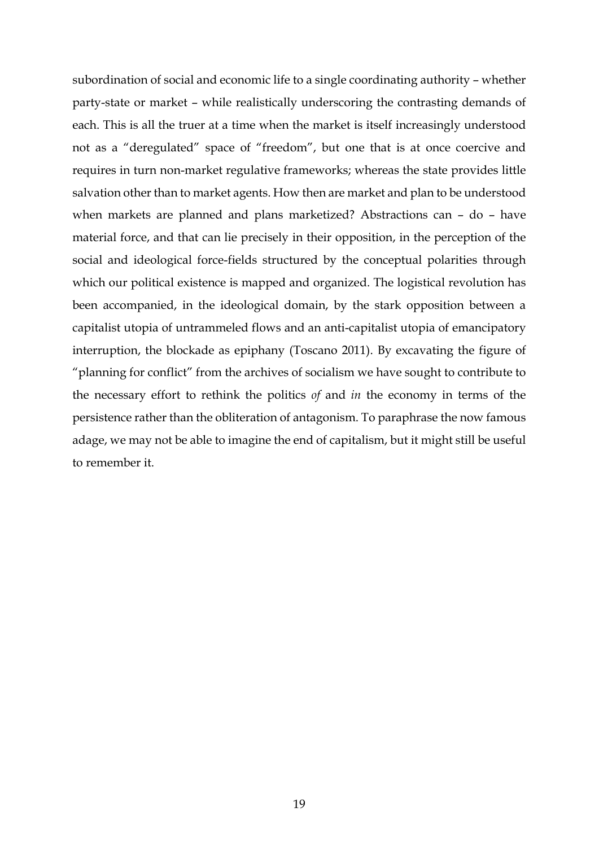subordination of social and economic life to a single coordinating authority – whether party-state or market – while realistically underscoring the contrasting demands of each. This is all the truer at a time when the market is itself increasingly understood not as a "deregulated" space of "freedom", but one that is at once coercive and requires in turn non-market regulative frameworks; whereas the state provides little salvation other than to market agents. How then are market and plan to be understood when markets are planned and plans marketized? Abstractions can – do – have material force, and that can lie precisely in their opposition, in the perception of the social and ideological force-fields structured by the conceptual polarities through which our political existence is mapped and organized. The logistical revolution has been accompanied, in the ideological domain, by the stark opposition between a capitalist utopia of untrammeled flows and an anti-capitalist utopia of emancipatory interruption, the blockade as epiphany (Toscano 2011). By excavating the figure of "planning for conflict" from the archives of socialism we have sought to contribute to the necessary effort to rethink the politics *of* and *in* the economy in terms of the persistence rather than the obliteration of antagonism. To paraphrase the now famous adage, we may not be able to imagine the end of capitalism, but it might still be useful to remember it.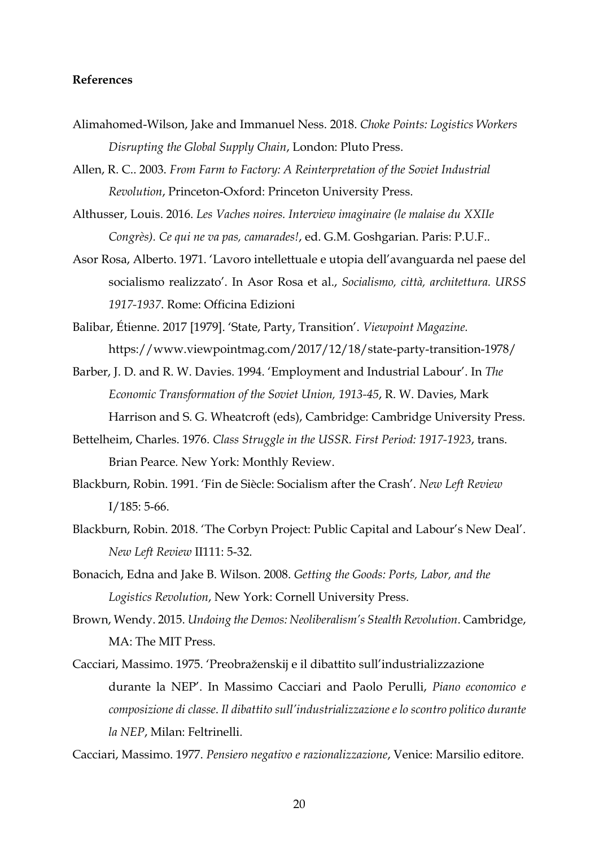## **References**

- Alimahomed-Wilson, Jake and Immanuel Ness. 2018. *Choke Points: Logistics Workers Disrupting the Global Supply Chain*, London: Pluto Press.
- Allen, R. C.. 2003. *From Farm to Factory: A Reinterpretation of the Soviet Industrial Revolution*, Princeton-Oxford: Princeton University Press.
- Althusser, Louis. 2016. *Les Vaches noires. Interview imaginaire (le malaise du XXIIe Congrès). Ce qui ne va pas, camarades!*, ed. G.M. Goshgarian. Paris: P.U.F..
- Asor Rosa, Alberto. 1971. 'Lavoro intellettuale e utopia dell'avanguarda nel paese del socialismo realizzato'. In Asor Rosa et al., *Socialismo, città, architettura. URSS 1917-1937*. Rome: Officina Edizioni
- Balibar, Étienne. 2017 [1979]. 'State, Party, Transition'. *Viewpoint Magazine.*  https://www.viewpointmag.com/2017/12/18/state-party-transition-1978/
- Barber, J. D. and R. W. Davies. 1994. 'Employment and Industrial Labour'. In *The Economic Transformation of the Soviet Union, 1913-45*, R. W. Davies, Mark Harrison and S. G. Wheatcroft (eds), Cambridge: Cambridge University Press.
- Bettelheim, Charles. 1976. *Class Struggle in the USSR. First Period: 1917-1923*, trans. Brian Pearce*.* New York: Monthly Review.
- Blackburn, Robin. 1991. 'Fin de Siècle: Socialism after the Crash'. *New Left Review*  I/185: 5-66.
- Blackburn, Robin. 2018. 'The Corbyn Project: Public Capital and Labour's New Deal'. *New Left Review* II111: 5-32.
- Bonacich, Edna and Jake B. Wilson. 2008. *Getting the Goods: Ports, Labor, and the Logistics Revolution*, New York: Cornell University Press.
- Brown, Wendy. 2015. *Undoing the Demos: Neoliberalism's Stealth Revolution*. Cambridge, MA: The MIT Press.
- Cacciari, Massimo. 1975. 'Preobraženskij e il dibattito sull'industrializzazione durante la NEP'. In Massimo Cacciari and Paolo Perulli, *Piano economico e composizione di classe*. *Il dibattito sull'industrializzazione e lo scontro politico durante la NEP*, Milan: Feltrinelli.

Cacciari, Massimo. 1977. *Pensiero negativo e razionalizzazione*, Venice: Marsilio editore.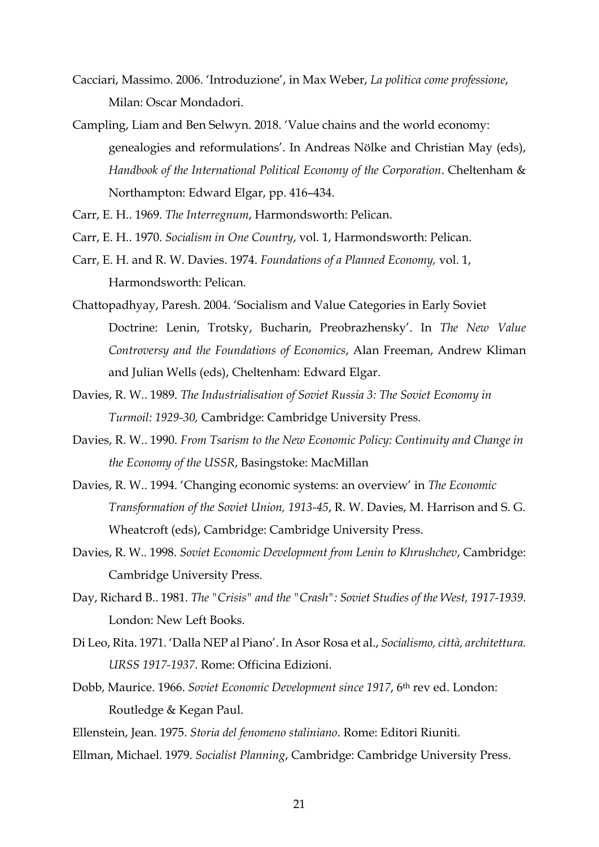- Cacciari, Massimo. 2006. 'Introduzione', in Max Weber, *La politica come professione*, Milan: Oscar Mondadori.
- Campling, Liam and Ben Selwyn. 2018. 'Value chains and the world economy: genealogies and reformulations'. In Andreas Nölke and Christian May (eds), *Handbook of the International Political Economy of the Corporation*. Cheltenham & Northampton: Edward Elgar, pp. 416–434.

Carr, E. H.. 1969. *The Interregnum*, Harmondsworth: Pelican.

- Carr, E. H.. 1970. *Socialism in One Country*, vol. 1, Harmondsworth: Pelican.
- Carr, E. H. and R. W. Davies. 1974. *Foundations of a Planned Economy,* vol. 1, Harmondsworth: Pelican.
- Chattopadhyay, Paresh. 2004. 'Socialism and Value Categories in Early Soviet Doctrine: Lenin, Trotsky, Bucharin, Preobrazhensky'. In *The New Value Controversy and the Foundations of Economics*, Alan Freeman, Andrew Kliman and Julian Wells (eds), Cheltenham: Edward Elgar.
- Davies, R. W.. 1989. *The Industrialisation of Soviet Russia 3: The Soviet Economy in Turmoil: 1929-30,* Cambridge: Cambridge University Press.
- Davies, R. W.. 1990. *From Tsarism to the New Economic Policy: Continuity and Change in the Economy of the USSR*, Basingstoke: MacMillan
- Davies, R. W.. 1994. 'Changing economic systems: an overview' in *The Economic Transformation of the Soviet Union, 1913-45*, R. W. Davies, M. Harrison and S. G. Wheatcroft (eds), Cambridge: Cambridge University Press.
- Davies, R. W.. 1998. *Soviet Economic Development from Lenin to Khrushchev*, Cambridge: Cambridge University Press.
- Day, Richard B.. 1981. *The "Crisis" and the "Crash": Soviet Studies of the West, 1917-1939*. London: New Left Books.
- Di Leo, Rita. 1971. 'Dalla NEP al Piano'. In Asor Rosa et al., *Socialismo, città, architettura. URSS 1917-1937*. Rome: Officina Edizioni.
- Dobb, Maurice. 1966. *Soviet Economic Development since 1917*, 6th rev ed. London: Routledge & Kegan Paul.
- Ellenstein, Jean. 1975. *Storia del fenomeno staliniano*. Rome: Editori Riuniti.
- Ellman, Michael. 1979. *Socialist Planning*, Cambridge: Cambridge University Press.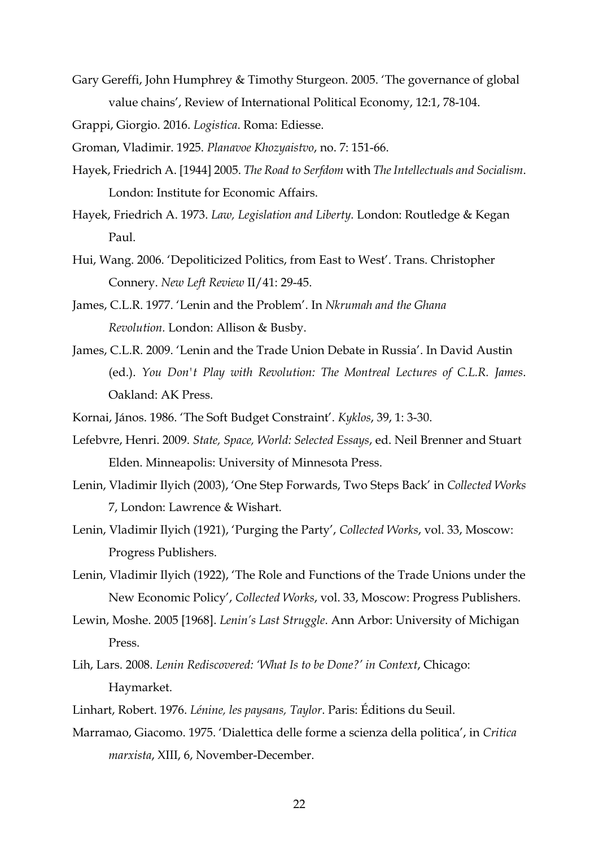Gary Gereffi, John Humphrey & Timothy Sturgeon. 2005. 'The governance of global value chains', Review of International Political Economy, 12:1, 78-104.

Grappi, Giorgio. 2016. *Logistica*. Roma: Ediesse.

Groman, Vladimir. 1925. *Planavoe Khozyaistvo*, no. 7: 151-66.

- Hayek, Friedrich A. [1944] 2005. *The Road to Serfdom* with *The Intellectuals and Socialism*. London: Institute for Economic Affairs.
- Hayek, Friedrich A. 1973. *Law, Legislation and Liberty.* London: Routledge & Kegan Paul.
- Hui, Wang. 2006. 'Depoliticized Politics, from East to West'. Trans. Christopher Connery. *New Left Review* II/41: 29-45.
- James, C.L.R. 1977. 'Lenin and the Problem'. In *Nkrumah and the Ghana Revolution.* London: Allison & Busby.
- James, C.L.R. 2009. 'Lenin and the Trade Union Debate in Russia'. In David Austin (ed.). *You Don't Play with Revolution: The Montreal Lectures of C.L.R. James*. Oakland: AK Press.
- Kornai, János. 1986. 'The Soft Budget Constraint'. *Kyklos*, 39, 1: 3-30.
- Lefebvre, Henri. 2009. *State, Space, World: Selected Essays*, ed. Neil Brenner and Stuart Elden. Minneapolis: University of Minnesota Press.
- Lenin, Vladimir Ilyich (2003), 'One Step Forwards, Two Steps Back' in *Collected Works* 7, London: Lawrence & Wishart.
- Lenin, Vladimir Ilyich (1921), 'Purging the Party', *Collected Works*, vol. 33, Moscow: Progress Publishers.
- Lenin, Vladimir Ilyich (1922), 'The Role and Functions of the Trade Unions under the New Economic Policy', *Collected Works*, vol. 33, Moscow: Progress Publishers.
- Lewin, Moshe. 2005 [1968]. *Lenin's Last Struggle*. Ann Arbor: University of Michigan Press.
- Lih, Lars. 2008. *Lenin Rediscovered: 'What Is to be Done?' in Context*, Chicago: Haymarket.
- Linhart, Robert. 1976. *Lénine, les paysans, Taylor*. Paris: Éditions du Seuil.
- Marramao, Giacomo. 1975. 'Dialettica delle forme a scienza della politica', in *Critica marxista*, XIII, 6, November-December.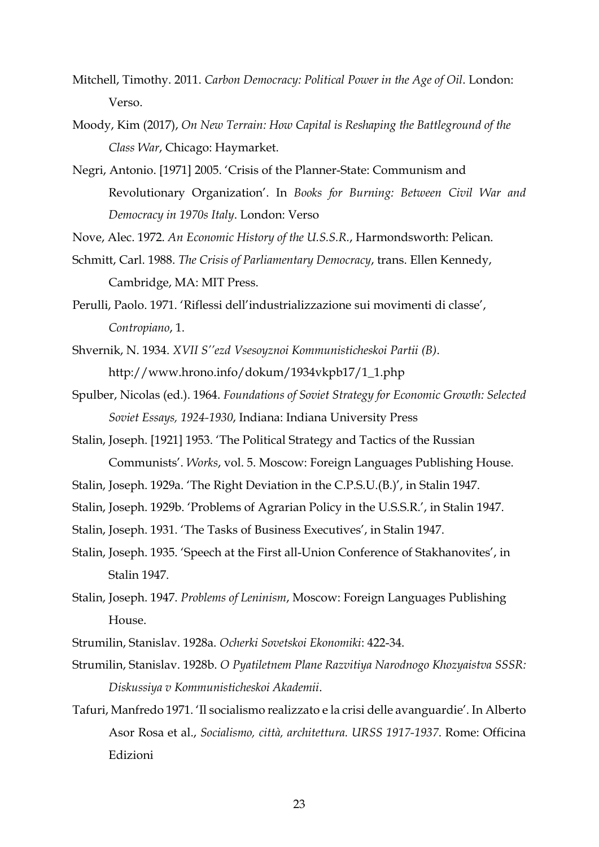- Mitchell, Timothy. 2011. *Carbon Democracy: Political Power in the Age of Oil*. London: Verso.
- Moody, Kim (2017), *On New Terrain: How Capital is Reshaping the Battleground of the Class War*, Chicago: Haymarket.
- Negri, Antonio. [1971] 2005. 'Crisis of the Planner-State: Communism and Revolutionary Organization'. In *Books for Burning: Between Civil War and Democracy in 1970s Italy*. London: Verso

Nove, Alec. 1972. *An Economic History of the U.S.S.R.*, Harmondsworth: Pelican.

- Schmitt, Carl. 1988. *The Crisis of Parliamentary Democracy*, trans. Ellen Kennedy, Cambridge, MA: MIT Press.
- Perulli, Paolo. 1971. 'Riflessi dell'industrializzazione sui movimenti di classe', *Contropiano*, 1.
- Shvernik, N. 1934. *XVII S''ezd Vsesoyznoi Kommunisticheskoi Partii (B)*. http://www.hrono.info/dokum/1934vkpb17/1\_1.php
- Spulber, Nicolas (ed.). 1964. *Foundations of Soviet Strategy for Economic Growth: Selected Soviet Essays, 1924-1930*, Indiana: Indiana University Press
- Stalin, Joseph. [1921] 1953. 'The Political Strategy and Tactics of the Russian Communists'. *Works*, vol. 5. Moscow: Foreign Languages Publishing House.
- Stalin, Joseph. 1929a. 'The Right Deviation in the C.P.S.U.(B.)', in Stalin 1947.
- Stalin, Joseph. 1929b. 'Problems of Agrarian Policy in the U.S.S.R.', in Stalin 1947.
- Stalin, Joseph. 1931. 'The Tasks of Business Executives', in Stalin 1947.
- Stalin, Joseph. 1935. 'Speech at the First all-Union Conference of Stakhanovites', in Stalin 1947.
- Stalin, Joseph. 1947. *Problems of Leninism*, Moscow: Foreign Languages Publishing House.
- Strumilin, Stanislav. 1928a. *Ocherki Sovetskoi Ekonomiki*: 422-34.
- Strumilin, Stanislav. 1928b. *O Pyatiletnem Plane Razvitiya Narodnogo Khozyaistva SSSR: Diskussiya v Kommunisticheskoi Akademii*.
- Tafuri, Manfredo 1971. 'Il socialismo realizzato e la crisi delle avanguardie'. In Alberto Asor Rosa et al., *Socialismo, città, architettura. URSS 1917-1937*. Rome: Officina Edizioni